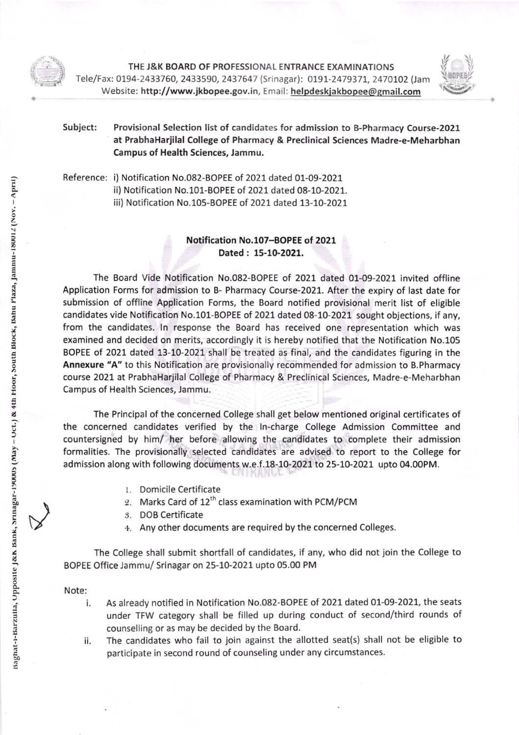

a

THE J&K BOARD OF PROFESSIONAL ENTRANCE EXAMINATIONS Tele/Fax: 0194-2433760, 2433590, 2437647 (Srinagar): 0191-2479371, 2470102 (Jam Website: http://www.jkbopee.gov.in, Email: helpdeskjakbopee@gmail.com



a

Subject: Provisional Selection list of candidates for admission to B-Pharmacy Course-2021 at PrabhaHarjilal College of Pharmacy & Preclinical Sciences Madre-e-Meharbhan Campus of Health Sciences, Jammu.

Reference: i) Notification No.082-BOPEE of 2021 dated 01-09-2021 ii) Notification No.101-BOPEE of 2021 dated 08-10-2021. iii) Notification No.105-BOPEE of 2021 dated 13-10-2021

## Notification No.107-BOPEE of 2021 Dated: 15-10-2021.

The Board Vide Notification No.O82-BOPEE of 2021 dated 01-09-2021 invited offline Application Forms for admission to B- Pharmacy Course-2021. After the expiry of last date for submission of offline Application Forms, the Board notified provisional merit list of eligible candidates vide Notification No.101-BOPEE of 2021 dated 08-10-2021 sought objections, if any, from the candidates. ln response the Board has received one representation which was examined and decided on merits, accordingly it is hereby notified that the Notification No.105 BOPEE of 2021 dated 13-10-2021 shall be treated as final, and the candidates figuring in the Annexure "A" to this Notification are provisionally recommended for admission to B. Pharmacy course 2021 at PrabhaHarjilal College of Pharmacy & Preclinical Sciences, Madre-e-Meharbhan Campus of Health Sciences, Jammu.

The Principal of the concerned College shall get below mentioned original certificates of the concerned candidates verified by the ln-charge College Admission Committee and countersigned by him/ her before allowing the candidates to complete their admission formalities. The provisionally selected candidates are advised to report to the College for admission along with following documents w.e.f.18-10-2021 to 25-10-2021 upto 04.00PM.

- 1. Domicile Certificate
- 2. Marks Card of 12<sup>th</sup> class examination with PCM/PCM
- 5. DOB Certificate
- 4.. Any other documents are required by the concerned Colleges.

The College shall submit shortfall of candidates, if any, who did not join the College to BOPEE Office Jammu/ Srinagar on 25-L0-2O2L upto 05.00 PM

## Note:

- As already notified in Notification No.o82-BOPEE of 2021 dated 01-09-2021, the seats under TFW category shall be filled up during conduct of second/third rounds of counselling or as may be decided by the Board. i.
- The candidates who fail to join against the allotted seat(s) shall not be eligible to ii. participate in second round of counseling under any circumstances.

 $\vee$ 

00